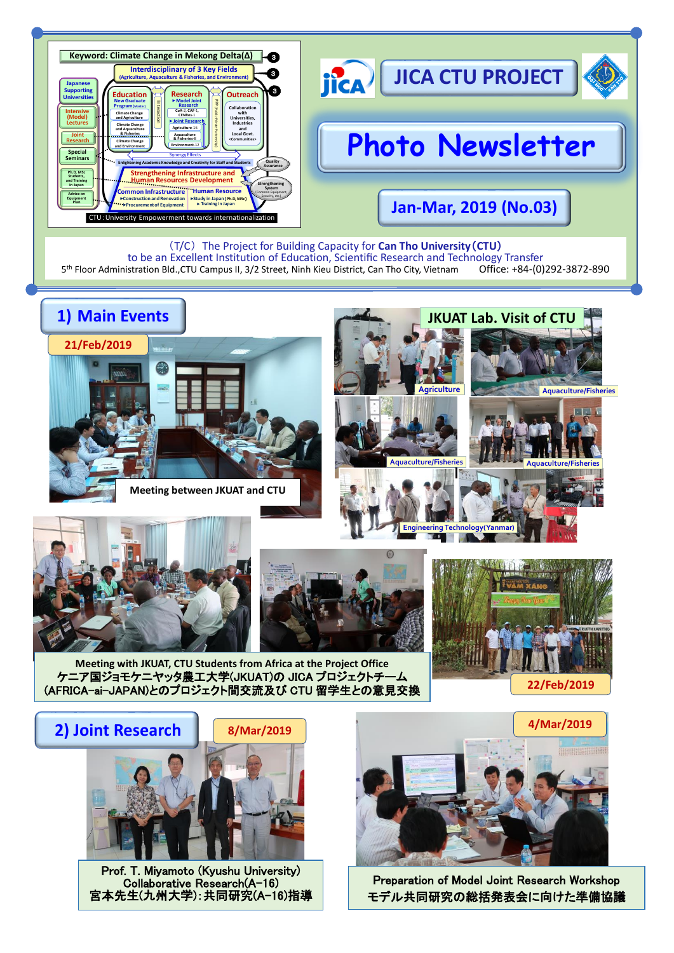

(T/C) The Project for Building Capacity for **Can Tho University**(**CTU**) to be an Excellent Institution of Education, Scientific Research and Technology Transfer<br>istration Bld..CTU Campus II. 3/2 Street. Ninh Kieu District. Can Tho City. Vietnam Office: +84-(0)292-3872-890 5 th Floor Administration Bld.,CTU Campus II, 3/2 Street, Ninh Kieu District, Can Tho City, Vietnam Office: +84-(0)292-3872-890



**Meeting between JKUAT and CTU**













**Meeting with JKUAT, CTU Students from Africa at the Project Office** ケニア国ジョモケニヤッタ農工大学(JKUAT)の JICA プロジェクトチーム (AFRICA-ai-JAPAN)とのプロジェクト間交流及び CTU 留学生との意見交換



Prof. T. Miyamoto (Kyushu University) Collaborative Research(A-16) 宮本先生(九州大学):共同研究(A-16)指導



**Engineering Technology(Yanmar)**

Preparation of Model Joint Research Workshop モデル共同研究の総括発表会に向けた準備協議